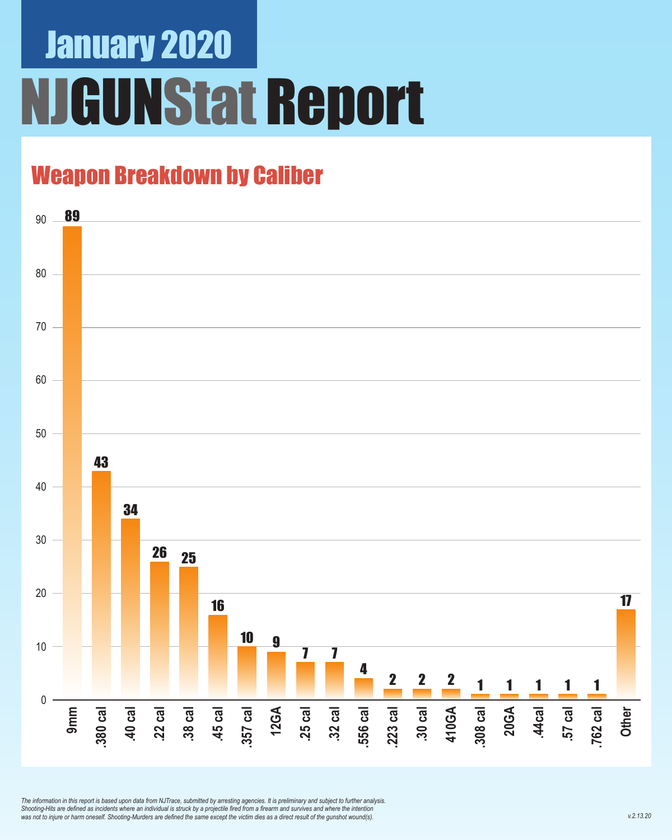# January 2020 **GUNStat Report**

### Weapon Breakdown by Caliber



*The information in this report is based upon data from NJTrace, submitted by arresting agencies. It is preliminary and subject to further analysis. Shooting-Hits are defined as incidents where an individual is struck by a projectile fired from a firearm and survives and where the intention was not to injure or harm oneself. Shooting-Murders are defined the same except the victim dies as a direct result of the gunshot wound(s).*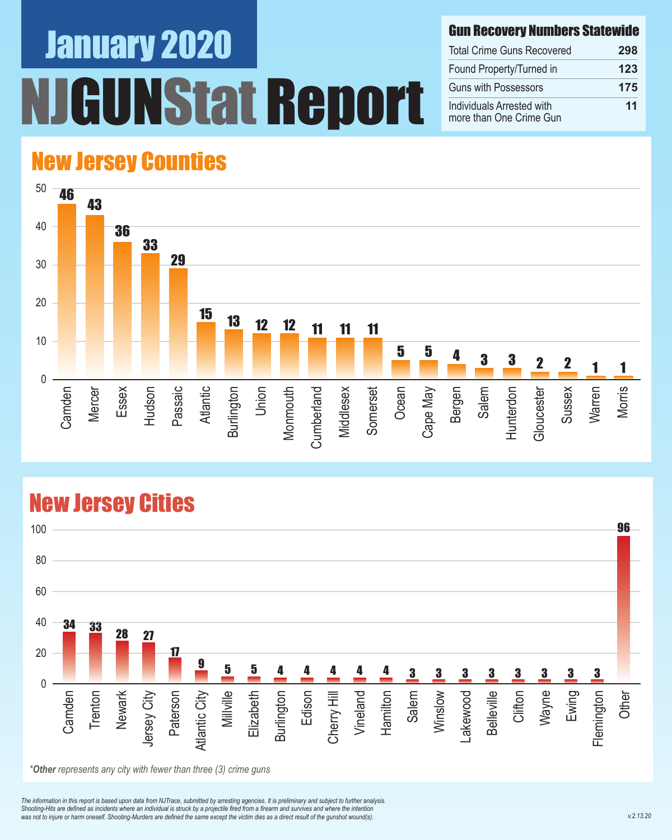# January 2020 Nstat Report

#### Gun Recovery Numbers Statewide

| <b>Total Crime Guns Recovered</b>                    | 298 |
|------------------------------------------------------|-----|
| Found Property/Turned in                             | 123 |
| <b>Guns with Possessors</b>                          | 175 |
| Individuals Arrested with<br>more than One Crime Gun | 11  |

### New Jersey Counties



#### New Jersey Cities



*\*Other represents any city with fewer than three (3) crime guns*

*The information in this report is based upon data from NJTrace, submitted by arresting agencies. It is preliminary and subject to further analysis. Shooting-Hits are defined as incidents where an individual is struck by a projectile fired from a firearm and survives and where the intention*  was not to injure or harm oneself. Shooting-Murders are defined the same except the victim dies as a direct result of the gunshot wound(s).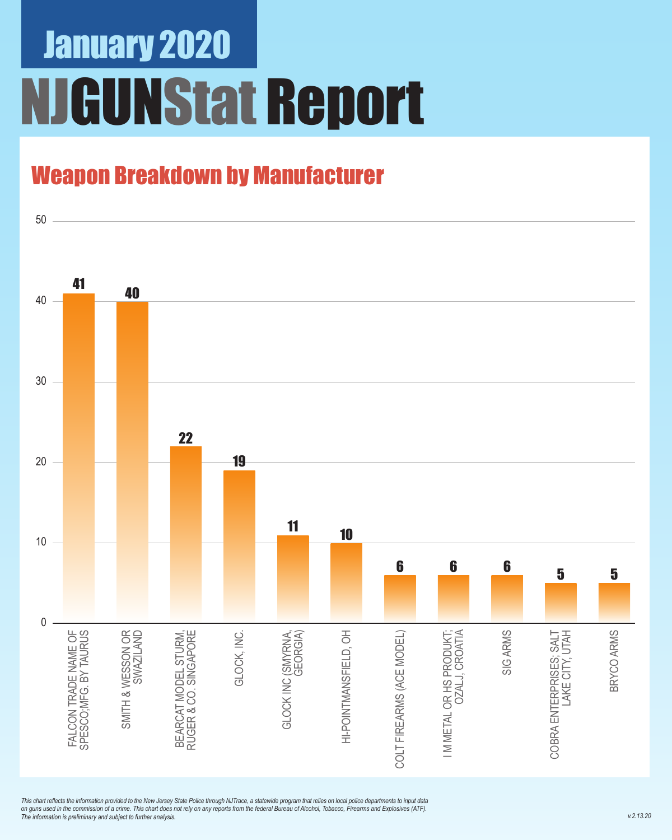# January 2020 **JGUNStat Report**

### Weapon Breakdown by Manufacturer



*This chart reflects the information provided to the New Jersey State Police through NJTrace, a statewide program that relies on local police departments to input data on guns used in the commission of a crime. This chart does not rely on any reports from the federal Bureau of Alcohol, Tobacco, Firearms and Explosives (ATF). The information is preliminary and subject to further analysis.*